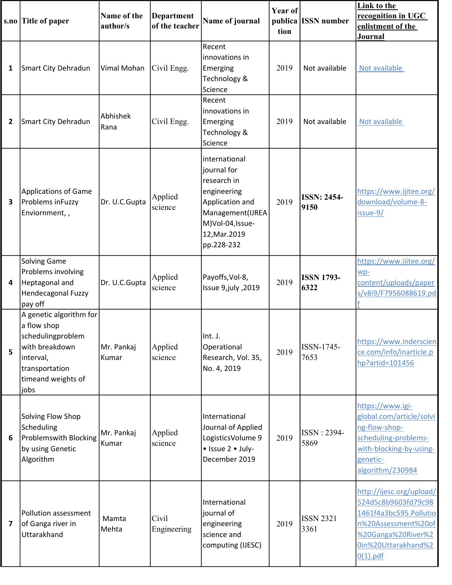|                         | s.no Title of paper                                                                                                                        | Name of the<br>author/s | <b>Department</b><br>of the teacher | Name of journal                                                                                                                                      | Year of<br>tion | publica ISSN number        | Link to the<br>recognition in UGC<br>enlistment of the<br>Journal                                                                                            |
|-------------------------|--------------------------------------------------------------------------------------------------------------------------------------------|-------------------------|-------------------------------------|------------------------------------------------------------------------------------------------------------------------------------------------------|-----------------|----------------------------|--------------------------------------------------------------------------------------------------------------------------------------------------------------|
| 1                       | Smart City Dehradun                                                                                                                        | Vimal Mohan             | Civil Engg.                         | Recent<br>innovations in<br>Emerging<br>Technology &<br>Science                                                                                      | 2019            | Not available              | Not available                                                                                                                                                |
| 2                       | Smart City Dehradun                                                                                                                        | Abhishek<br>Rana        | Civil Engg.                         | Recent<br>innovations in<br>Emerging<br>Technology &<br>Science                                                                                      | 2019            | Not available              | Not available                                                                                                                                                |
| 3                       | <b>Applications of Game</b><br>Problems inFuzzy<br>Enviornment,,                                                                           | Dr. U.C.Gupta           | Applied<br>science                  | international<br>journal for<br>research in<br>engineering<br>Application and<br>Management(IJREA<br>M)Vol-04, Issue-<br>12, Mar. 2019<br>pp.228-232 | 2019            | <b>ISSN: 2454-</b><br>9150 | https://www.ijitee.org/<br>download/volume-8-<br>issue-9/                                                                                                    |
| 4                       | <b>Solving Game</b><br>Problems involving<br>Heptagonal and<br>Hendecagonal Fuzzy<br>pay off                                               | Dr. U.C.Gupta           | Applied<br>science                  | Payoffs, Vol-8,<br>Issue 9, july , 2019                                                                                                              | 2019            | <b>ISSN 1793-</b><br>6322  | https://www.ijitee.org/<br>wp-<br>content/uploads/paper<br>s/v8i9/F7956088619.pd                                                                             |
| 5                       | A genetic algorithm for<br>a flow shop<br>schedulingproblem<br>with breakdown<br>interval,<br>transportation<br>timeand weights of<br>jobs | Mr. Pankaj<br>Kumar     | Applied<br>science                  | Int. J.<br>Operational<br>Research, Vol. 35,<br>No. 4, 2019                                                                                          | 2019            | ISSN-1745-<br>7653         | https://www.inderscien<br>ce.com/info/inarticle.p<br>hp?artid=101456                                                                                         |
| 6                       | Solving Flow Shop<br>Scheduling<br>Problemswith Blocking<br>by using Genetic<br>Algorithm                                                  | Mr. Pankaj<br>Kumar     | Applied<br>science                  | International<br>Journal of Applied<br>LogisticsVolume 9<br>• Issue 2 • July-<br>December 2019                                                       | 2019            | ISSN: 2394-<br>5869        | https://www.igi-<br>global.com/article/solvi<br>ng-flow-shop-<br>scheduling-problems-<br>with-blocking-by-using-<br>genetic-<br>algorithm/230984             |
| $\overline{\mathbf{z}}$ | Pollution assessment<br>of Ganga river in<br>Uttarakhand                                                                                   | Mamta<br>Mehta          | Civil<br>Engineering                | International<br>journal of<br>engineering<br>science and<br>computing (IJESC)                                                                       | 2019            | <b>ISSN 2321</b><br>3361   | http://ijesc.org/upload/<br>524d5c8b9603fd79c98<br>1461f4a3bc595.Pollutio<br>n%20Assessment%20of<br>%20Ganga%20River%2<br>0in%20Uttarakhand%2<br>$0(1)$ .pdf |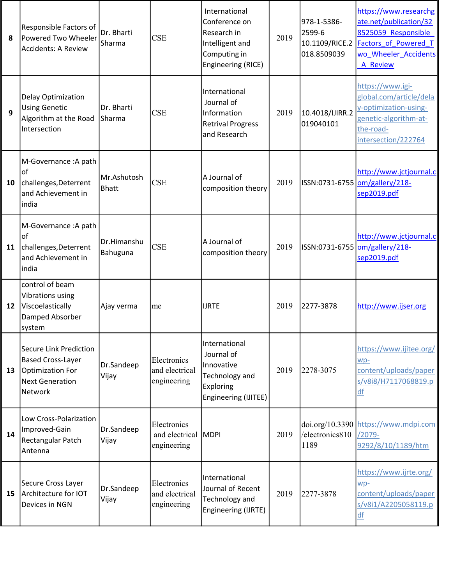| 8  | Responsible Factors of<br>Powered Two Wheeler<br><b>Accidents: A Review</b>                                               | Dr. Bharti<br>Sharma        | <b>CSE</b>                                        | International<br>Conference on<br>Research in<br>Intelligent and<br>Computing in<br>Engineering (RICE) | 2019 | 978-1-5386-<br>2599-6<br>018.8509039 | https://www.researchg<br>ate.net/publication/32<br>8525059 Responsible<br>10.1109/RICE.2 Factors of Powered T<br>wo Wheeler Accidents<br>A Review |
|----|---------------------------------------------------------------------------------------------------------------------------|-----------------------------|---------------------------------------------------|--------------------------------------------------------------------------------------------------------|------|--------------------------------------|---------------------------------------------------------------------------------------------------------------------------------------------------|
| 9  | Delay Optimization<br><b>Using Genetic</b><br>Algorithm at the Road<br>Intersection                                       | Dr. Bharti<br>Sharma        | <b>CSE</b>                                        | International<br>Journal of<br>Information<br><b>Retrival Progress</b><br>and Research                 | 2019 | 10.4018/IJIRR.2<br>019040101         | https://www.igi-<br>global.com/article/dela<br>y-optimization-using-<br>genetic-algorithm-at-<br>the-road-<br>intersection/222764                 |
| 10 | M-Governance : A path<br>of<br>challenges, Deterrent<br>and Achievement in<br>india                                       | Mr.Ashutosh<br><b>Bhatt</b> | <b>CSE</b>                                        | A Journal of<br>composition theory                                                                     | 2019 |                                      | http://www.jctjournal.c<br>ISSN:0731-6755   om/gallery/218-<br>sep2019.pdf                                                                        |
| 11 | M-Governance : A path<br><b>of</b><br>challenges, Deterrent<br>and Achievement in<br> india                               | Dr.Himanshu<br>Bahuguna     | <b>CSE</b>                                        | A Journal of<br>composition theory                                                                     | 2019 |                                      | http://www.jctjournal.c<br>ISSN:0731-6755   om/gallery/218-<br>sep2019.pdf                                                                        |
| 12 | control of beam<br>Vibrations using<br>Viscoelastically<br>Damped Absorber<br>system                                      | Ajay verma                  | me                                                | <b>IJRTE</b>                                                                                           | 2019 | 2277-3878                            | http://www.ijser.org                                                                                                                              |
| 13 | <b>Secure Link Prediction</b><br><b>Based Cross-Layer</b><br>Optimization For<br><b>Next Generation</b><br><b>Network</b> | Dr.Sandeep<br>Vijay         | Electronics<br>and electrical<br>engineering      | International<br>Journal of<br>Innovative<br>Technology and<br>Exploring<br>Engineering (IJITEE)       | 2019 | 2278-3075                            | https://www.ijitee.org/<br>wp-<br>content/uploads/paper<br>s/v8i8/H7117068819.p<br>df                                                             |
| 14 | Low Cross-Polarization<br>Improved-Gain<br>Rectangular Patch<br>Antenna                                                   | Dr.Sandeep<br>Vijay         | Electronics<br>and electrical MDPI<br>engineering |                                                                                                        | 2019 | /electronics810<br>1189              | doi.org/10.3390 https://www.mdpi.com<br>$/2079-$<br>9292/8/10/1189/htm                                                                            |
| 15 | Secure Cross Layer<br>Architecture for IOT<br>Devices in NGN                                                              | Dr.Sandeep<br>Vijay         | Electronics<br>and electrical<br>engineering      | International<br>Journal of Recent<br><b>Technology and</b><br>Engineering (IJRTE)                     | 2019 | 2277-3878                            | https://www.ijrte.org/<br>$wp-$<br>content/uploads/paper<br>s/v8i1/A2205058119.p<br>df                                                            |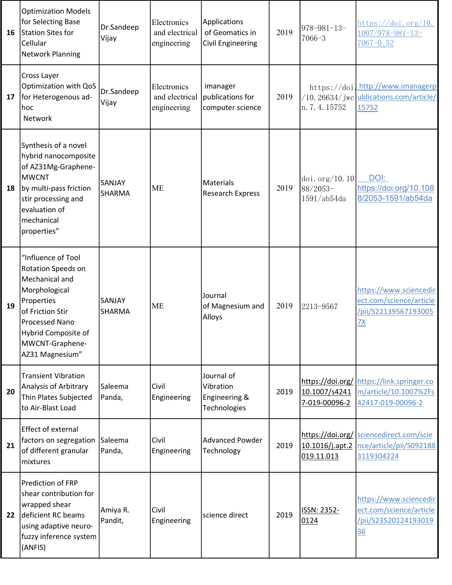| 16 | <b>Optimization Models</b><br>for Selecting Base<br>Station Sites for<br>Cellular<br><b>Network Planning</b>                                                                                 | Dr.Sandeep<br>Vijay     | Electronics<br>and electrical<br>engineering | Applications<br>of Geomatics in<br><b>Civil Engineering</b> | 2019 | $978 - 981 - 13$<br>7066-3                                       | $\frac{\text{https://doi.org/10.}}{\text{https://doi.org/10.}}$<br>$1007/978 - 981 - 13$<br>$7067 - 0.52$ |
|----|----------------------------------------------------------------------------------------------------------------------------------------------------------------------------------------------|-------------------------|----------------------------------------------|-------------------------------------------------------------|------|------------------------------------------------------------------|-----------------------------------------------------------------------------------------------------------|
| 17 | Cross Layer<br>Optimization with QoS<br>for Heterogenous ad-<br>hoc<br>Network                                                                                                               | Dr.Sandeep<br>Vijay     | Electronics<br>and electrical<br>engineering | imanager<br>publications for<br>computer science            | 2019 | n. 7. 4. 15752                                                   | https://doi.http://www.imanagerp<br>$/10.26634$ / jwc ublications.com/article/<br>15752                   |
| 18 | Synthesis of a novel<br>hybrid nanocomposite<br>of AZ31Mg-Graphene-<br><b>MWCNT</b><br>by multi-pass friction<br>stir processing and<br>evaluation of<br>mechanical<br>properties"           | SANJAY<br><b>SHARMA</b> | <b>ME</b>                                    | <b>Materials</b><br>Research Express                        | 2019 | $\left  \text{doi.org}/10.10 \right $<br>88/2053-<br>1591/ab54da | DOI:<br>https://doi.org/10.108<br>8/2053-1591/ab54da                                                      |
| 19 | "Influence of Tool<br>Rotation Speeds on<br>Mechanical and<br>Morphological<br>Properties<br>of Friction Stir<br>Processed Nano<br>Hybrid Composite of<br>MWCNT-Graphene-<br>AZ31 Magnesium" | SANJAY<br><b>SHARMA</b> | <b>ME</b>                                    | Journal<br>of Magnesium and<br>Alloys                       | 2019 | 2213-9567                                                        | https://www.sciencedir<br>ect.com/science/article<br>/pii/S22139567193005<br><u>7X</u>                    |
| 20 | <b>Transient Vibration</b><br>Analysis of Arbitrary<br>Thin Plates Subjected<br>to Air-Blast Load                                                                                            | Saleema<br>Panda,       | Civil<br>Engineering                         | Journal of<br>Vibration<br>Engineering &<br>Technologies    | 2019 | 10.1007/s4241<br>7-019-00096-2                                   | https://doi.org/ https://link.springer.co<br>m/article/10.1007%2Fs<br>42417-019-00096-2                   |
| 21 | <b>Effect of external</b><br>factors on segregation<br>of different granular<br>mixtures                                                                                                     | Saleema<br>Panda,       | Civil<br>Engineering                         | <b>Advanced Powder</b><br>Technology                        | 2019 | 10.1016/j.apt.2<br>019.11.013                                    | https://doi.org/ sciencedirect.com/scie<br>nce/article/pii/S092188<br>3119304224                          |
| 22 | Prediction of FRP<br>shear contribution for<br>wrapped shear<br>deficient RC beams<br>using adaptive neuro-<br>fuzzy inference system<br>(ANFIS)                                             | Amiya R.<br>Pandit,     | Civil<br>Engineering                         | science direct                                              | 2019 | ISSN: 2352-<br>0124                                              | https://www.sciencedir<br>ect.com/science/article<br>/pii/S23520124193019<br><u>36</u>                    |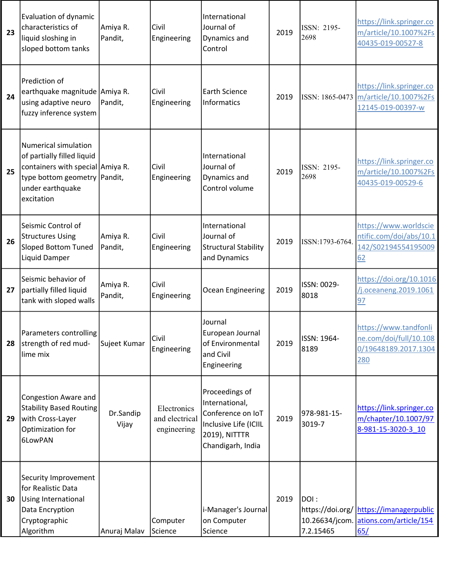| 23 | Evaluation of dynamic<br>characteristics of<br>liquid sloshing in<br>sloped bottom tanks                                                                          | Amiya R.<br>Pandit, | Civil<br>Engineering                         | International<br>Journal of<br>Dynamics and<br>Control                                                               | 2019 | ISSN: 2195-<br>2698                 | https://link.springer.co<br>m/article/10.1007%2Fs<br>40435-019-00527-8                 |
|----|-------------------------------------------------------------------------------------------------------------------------------------------------------------------|---------------------|----------------------------------------------|----------------------------------------------------------------------------------------------------------------------|------|-------------------------------------|----------------------------------------------------------------------------------------|
| 24 | Prediction of<br>earthquake magnitude Amiya R.<br>using adaptive neuro<br>fuzzy inference system                                                                  | Pandit,             | Civil<br>Engineering                         | <b>Earth Science</b><br><b>Informatics</b>                                                                           | 2019 |                                     | https://link.springer.co<br>ISSN: 1865-0473 m/article/10.1007%2Fs<br>12145-019-00397-w |
| 25 | <b>Numerical simulation</b><br>of partially filled liquid<br>containers with special Amiya R.<br>type bottom geometry   Pandit,<br>under earthquake<br>excitation |                     | Civil<br>Engineering                         | International<br>Journal of<br>Dynamics and<br>Control volume                                                        | 2019 | ISSN: 2195-<br>2698                 | https://link.springer.co<br>m/article/10.1007%2Fs<br>40435-019-00529-6                 |
| 26 | Seismic Control of<br><b>Structures Using</b><br><b>Sloped Bottom Tuned</b><br>Liquid Damper                                                                      | Amiya R.<br>Pandit, | Civil<br>Engineering                         | International<br>Journal of<br><b>Structural Stability</b><br>and Dynamics                                           | 2019 | ISSN:1793-6764.                     | https://www.worldscie<br>ntific.com/doi/abs/10.1<br>142/S02194554195009<br>62          |
| 27 | Seismic behavior of<br>partially filled liquid<br>tank with sloped walls                                                                                          | Amiya R.<br>Pandit, | Civil<br>Engineering                         | Ocean Engineering                                                                                                    | 2019 | ISSN: 0029-<br>8018                 | https://doi.org/10.1016<br>/j.oceaneng.2019.1061<br>97                                 |
| 28 | Parameters controlling<br>strength of red mud-<br>lime mix                                                                                                        | Sujeet Kumar        | <b>Civil</b><br>Engineering                  | Journal<br>European Journal<br>of Environmental<br>and Civil<br>Engineering                                          | 2019 | ISSN: 1964-<br>8189                 | https://www.tandfonli<br>ne.com/doi/full/10.108<br>0/19648189.2017.1304<br>280         |
| 29 | <b>Congestion Aware and</b><br><b>Stability Based Routing</b><br>with Cross-Layer<br>Optimization for<br>6LowPAN                                                  | Dr.Sandip<br>Vijay  | Electronics<br>and electrical<br>engineering | Proceedings of<br>International,<br>Conference on IoT<br>Inclusive Life (ICIIL<br>2019), NITTTR<br>Chandigarh, India | 2019 | 978-981-15-<br>3019-7               | https://link.springer.co<br>m/chapter/10.1007/97<br>8-981-15-3020-3 10                 |
| 30 | Security Improvement<br>for Realistic Data<br>Using International<br>Data Encryption<br>Cryptographic<br>Algorithm                                                | Anuraj Malav        | Computer<br>Science                          | i-Manager's Journal<br>on Computer<br>Science                                                                        | 2019 | DOI:<br>10.26634/jcom.<br>7.2.15465 | https://doi.org/ https://imanagerpublic<br>ations.com/article/154<br>65/               |